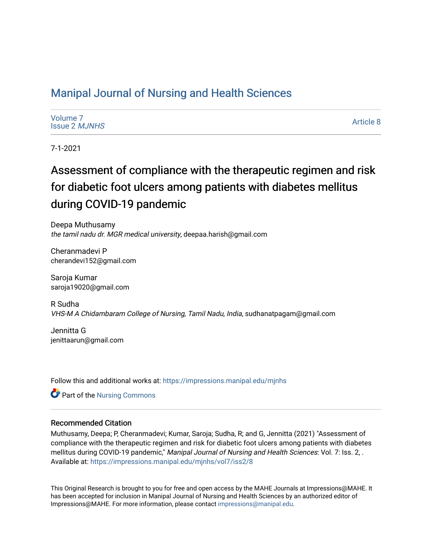## [Manipal Journal of Nursing and Health Sciences](https://impressions.manipal.edu/mjnhs)

| Volume 7             |  |
|----------------------|--|
| <b>Issue 2 MJNHS</b> |  |

[Article 8](https://impressions.manipal.edu/mjnhs/vol7/iss2/8) 

7-1-2021

# Assessment of compliance with the therapeutic regimen and risk for diabetic foot ulcers among patients with diabetes mellitus during COVID-19 pandemic

Deepa Muthusamy the tamil nadu dr. MGR medical university, deepaa.harish@gmail.com

Cheranmadevi P cherandevi152@gmail.com

Saroja Kumar saroja19020@gmail.com

R Sudha VHS-M A Chidambaram College of Nursing, Tamil Nadu, India, sudhanatpagam@gmail.com

Jennitta G jenittaarun@gmail.com

Follow this and additional works at: [https://impressions.manipal.edu/mjnhs](https://impressions.manipal.edu/mjnhs?utm_source=impressions.manipal.edu%2Fmjnhs%2Fvol7%2Fiss2%2F8&utm_medium=PDF&utm_campaign=PDFCoverPages) 

Part of the [Nursing Commons](https://network.bepress.com/hgg/discipline/718?utm_source=impressions.manipal.edu%2Fmjnhs%2Fvol7%2Fiss2%2F8&utm_medium=PDF&utm_campaign=PDFCoverPages) 

#### Recommended Citation

Muthusamy, Deepa; P, Cheranmadevi; Kumar, Saroja; Sudha, R; and G, Jennitta (2021) "Assessment of compliance with the therapeutic regimen and risk for diabetic foot ulcers among patients with diabetes mellitus during COVID-19 pandemic," Manipal Journal of Nursing and Health Sciences: Vol. 7: Iss. 2, . Available at: [https://impressions.manipal.edu/mjnhs/vol7/iss2/8](https://impressions.manipal.edu/mjnhs/vol7/iss2/8?utm_source=impressions.manipal.edu%2Fmjnhs%2Fvol7%2Fiss2%2F8&utm_medium=PDF&utm_campaign=PDFCoverPages) 

This Original Research is brought to you for free and open access by the MAHE Journals at Impressions@MAHE. It has been accepted for inclusion in Manipal Journal of Nursing and Health Sciences by an authorized editor of Impressions@MAHE. For more information, please contact [impressions@manipal.edu](mailto:impressions@manipal.edu).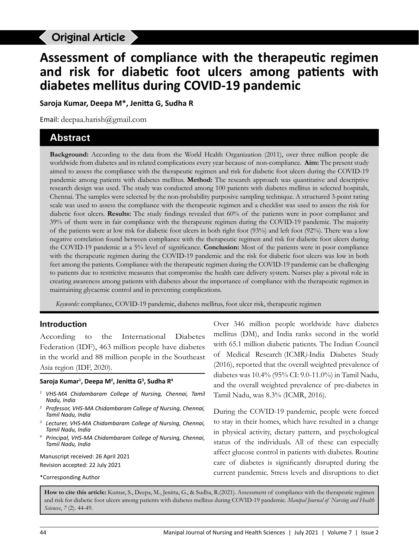## Original Article to the theory of the therapeutic regimen during COVID-19

# **Assessment of compliance with the therapeutic regimen and risk for diabetic foot ulcers among patients with diabetes mellitus during COVID-19 pandemic**

**Saroja Kumar, Deepa M\*, Jenitta G, Sudha R**

Email: deepaa.harish@gmail.com

## **Abstract**

**Background:** According to the data from the World Health Organization (2011), over three million people die worldwide from diabetes and its related complications every year because of non-compliance. **Aim:** The present study aimed to assess the compliance with the therapeutic regimen and risk for diabetic foot ulcers during the COVID-19 pandemic among patients with diabetes mellitus. **Method:** The research approach was quantitative and descriptive research design was used. The study was conducted among 100 patients with diabetes mellitus in selected hospitals, Chennai. The samples were selected by the non-probability purposive sampling technique. A structured 3-point rating scale was used to assess the compliance with the therapeutic regimen and a checklist was used to assess the risk for diabetic foot ulcers. **Results:** The study findings revealed that 60% of the patients were in poor compliance and 39% of them were in fair compliance with the therapeutic regimen during the COVID-19 pandemic. The majority of the patients were at low risk for diabetic foot ulcers in both right foot (93%) and left foot (92%). There was a low negative correlation found between compliance with the therapeutic regimen and risk for diabetic foot ulcers during the COVID-19 pandemic at a 5% level of significance. **Conclusion:** Most of the patients were in poor compliance with the therapeutic regimen during the COVID-19 pandemic and the risk for diabetic foot ulcers was low in both feet among the patients. Compliance with the therapeutic regimen during the COVID-19 pandemic can be challenging to patients due to restrictive measures that compromise the health care delivery system. Nurses play a pivotal role in creating awareness among patients with diabetes about the importance of compliance with the therapeutic regimen in maintaining glycaemic control and in preventing complications.

*Keywords:* compliance, COVID-19 pandemic, diabetes mellitus, foot ulcer risk, therapeutic regimen

#### **Introduction**

According to the International Diabetes Federation (IDF), 463 million people have diabetes in the world and 88 million people in the Southeast Asia region (IDF, 2020).

#### **Saroja Kumar1 , Deepa M2 , Jenitta G<sup>3</sup> , Sudha R4**

- *<sup>1</sup> VHS-MA Chidambaram College of Nursing, Chennai, Tamil Nadu, India*
- *<sup>2</sup> Professor, VHS-MA Chidambaram College of Nursing, Chennai, Tamil Nadu, India*
- *<sup>3</sup> Lecturer, VHS-MA Chidambaram College of Nursing, Chennai, Tamil Nadu, India*
- *<sup>4</sup> Principal, VHS-MA Chidambaram College of Nursing, Chennai, Tamil Nadu, India*

Manuscript received: 26 April 2021 Revision accepted: 22 July 2021

\*Corresponding Author

Over 346 million people worldwide have diabetes mellitus (DM), and India ranks second in the world with 65.1 million diabetic patients. The Indian Council of Medical Research (ICMR*)-*India Diabetes Study (2016), reported that the overall weighted prevalence of diabetes was 10.4% (95% CI: 9.0-11.0%) in Tamil Nadu, and the overall weighted prevalence of pre-diabetes in Tamil Nadu, was 8.3% (ICMR, 2016).

During the COVID-19 pandemic, people were forced to stay in their homes, which have resulted in a change in physical activity, dietary pattern, and psychological status of the individuals. All of these can especially affect glucose control in patients with diabetes. Routine care of diabetes is significantly disrupted during the current pandemic. Stress levels and disruptions to diet

**How to cite this article:** Kumar, S., Deepa, M., Jenitta, G., & Sudha, R.(2021). Assessment of compliance with the therapeutic regimen and risk for diabetic foot ulcers among patients with diabetes mellitus during COVID-19 pandemic. *Manipal Journal of Nursing and Health Sciences*, *7* (2). 44-49.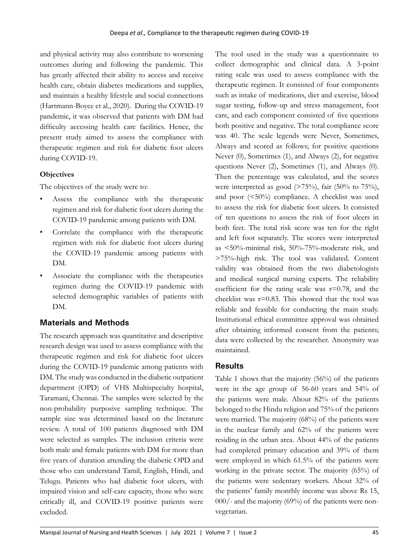and physical activity may also contribute to worsening outcomes during and following the pandemic. This has greatly affected their ability to access and receive health care, obtain diabetes medications and supplies, and maintain a healthy lifestyle and social connections (Hartmann-Boyce et al., 2020). During the COVID-19 pandemic, it was observed that patients with DM had difficulty accessing health care facilities. Hence, the present study aimed to assess the compliance with therapeutic regimen and risk for diabetic foot ulcers during COVID-19.

### **Objectives**

The objectives of the study were to:

- Assess the compliance with the therapeutic regimen and risk for diabetic foot ulcers during the COVID-19 pandemic among patients with DM.
- Correlate the compliance with the therapeutic regimen with risk for diabetic foot ulcers during the COVID-19 pandemic among patients with DM.
- Associate the compliance with the therapeutics regimen during the COVID-19 pandemic with selected demographic variables of patients with DM.

## **Materials and Methods**

The research approach was quantitative and descriptive research design was used to assess compliance with the therapeutic regimen and risk for diabetic foot ulcers during the COVID-19 pandemic among patients with DM. The study was conducted in the diabetic outpatient department (OPD) of VHS Multispecialty hospital, Taramani, Chennai. The samples were selected by the non-probability purposive sampling technique. The sample size was determined based on the literature review. A total of 100 patients diagnosed with DM were selected as samples. The inclusion criteria were both male and female patients with DM for more than five years of duration attending the diabetic OPD and those who can understand Tamil, English, Hindi, and Telugu. Patients who had diabetic foot ulcers, with impaired vision and self-care capacity, those who were critically ill, and COVID-19 positive patients were excluded.

The tool used in the study was a questionnaire to collect demographic and clinical data. A 3-point rating scale was used to assess compliance with the therapeutic regimen. It consisted of four components such as intake of medications, diet and exercise, blood sugar testing, follow-up and stress management, foot care, and each component consisted of five questions both positive and negative. The total compliance score was 40. The scale legends were Never, Sometimes, Always and scored as follows; for positive questions Never (0), Sometimes (1), and Always (2), for negative questions Never (2), Sometimes (1), and Always (0). Then the percentage was calculated, and the scores were interpreted as good  $($ >75%), fair  $(50\%$  to 75%), and poor (<50%) compliance. A checklist was used to assess the risk for diabetic foot ulcers. It consisted of ten questions to assess the risk of foot ulcers in both feet. The total risk score was ten for the right and left foot separately. The scores were interpreted as <50%-minimal risk, 50%-75%-moderate risk, and >75%-high risk. The tool was validated. Content validity was obtained from the two diabetologists and medical surgical nursing experts. The reliability coefficient for the rating scale was  $r=0.78$ , and the checklist was  $r=0.83$ . This showed that the tool was reliable and feasible for conducting the main study. Institutional ethical committee approval was obtained after obtaining informed consent from the patients; data were collected by the researcher. Anonymity was maintained.

## **Results**

Table 1 shows that the majority (56%) of the patients were in the age group of 56-60 years and 54% of the patients were male. About 82% of the patients belonged to the Hindu religion and 75% of the patients were married. The majority (68%) of the patients were in the nuclear family and 62% of the patients were residing in the urban area. About 44% of the patients had completed primary education and 39% of them were employed in which 61.5% of the patients were working in the private sector. The majority (65%) of the patients were sedentary workers. About 32% of the patients' family monthly income was above Rs 15,  $000/$ - and the majority (69%) of the patients were nonvegetarian.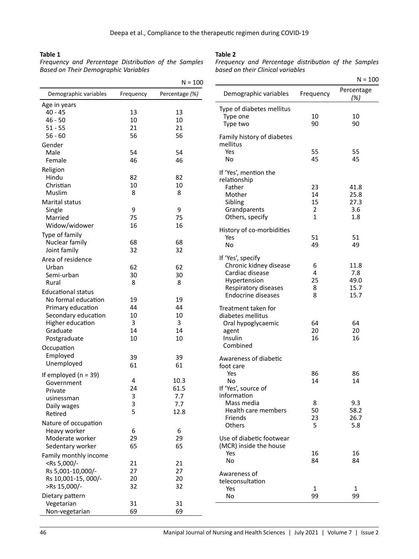#### **Table 1**

*Frequency and Percentage Distribution of the Samples Based on Their Demographic Variables*

#### **Table 2**

*Frequency and Percentage distribution of the Samples based on their Clinical variables*

 $N = 100$ 

|                                                                                       |           | $N = 100$      |                                        |                | $N = 10$          |
|---------------------------------------------------------------------------------------|-----------|----------------|----------------------------------------|----------------|-------------------|
| Demographic variables                                                                 | Frequency | Percentage (%) | Demographic variables                  | Frequency      | Percentage<br>(%) |
| Age in years                                                                          |           |                | Type of diabetes mellitus              |                |                   |
| $40 - 45$                                                                             | 13        | 13             | Type one                               | 10             | 10                |
| $46 - 50$                                                                             | 10        | 10             | Type two                               | 90             | 90                |
| $51 - 55$                                                                             | 21        | 21             |                                        |                |                   |
| $56 - 60$<br>Gender                                                                   | 56        | 56             | Family history of diabetes<br>mellitus |                |                   |
| Male                                                                                  | 54        | 54             | Yes                                    | 55             | 55                |
|                                                                                       |           |                | No                                     | 45             | 45                |
| Female                                                                                | 46        | 46             |                                        |                |                   |
| Religion                                                                              |           |                | If 'Yes', mention the                  |                |                   |
| Hindu                                                                                 | 82        | 82             | relationship                           |                |                   |
| Christian                                                                             | 10        | 10             | Father                                 | 23             | 41.8              |
| Muslim                                                                                | 8         | 8              | Mother                                 | 14             | 25.8              |
| <b>Marital status</b>                                                                 |           |                | Sibling                                | 15             | 27.3              |
| Single                                                                                | 9         | 9              | Grandparents                           | $\overline{2}$ | 3.6               |
| Married                                                                               | 75        | 75             | Others, specify                        | 1              | 1.8               |
| Widow/widower                                                                         | 16        | 16             |                                        |                |                   |
|                                                                                       |           |                | History of co-morbidities              |                |                   |
| Type of family                                                                        |           |                | Yes                                    | 51             | 51                |
| Nuclear family                                                                        | 68        | 68             | <b>No</b>                              | 49             | 49                |
| Joint family                                                                          | 32        | 32             |                                        |                |                   |
| Area of residence                                                                     |           |                | If 'Yes', specify                      |                |                   |
| Urban                                                                                 | 62        | 62             | Chronic kidney disease                 | 6              | 11.8              |
| Semi-urban                                                                            | 30        | 30             | Cardiac disease                        | 4              | 7.8               |
| Rural                                                                                 | 8         | 8              | Hypertension                           | 25             | 49.0              |
| <b>Educational status</b>                                                             |           |                | Respiratory diseases                   | 8              | 15.7              |
|                                                                                       |           |                | Endocrine diseases                     | 8              | 15.7              |
| No formal education                                                                   | 19        | 19             |                                        |                |                   |
| Primary education                                                                     | 44        | 44             | Treatment taken for                    |                |                   |
| Secondary education                                                                   | 10        | 10             | diabetes mellitus                      |                |                   |
| Higher education                                                                      | 3         | 3              | Oral hypoglycaemic                     | 64             | 64                |
| Graduate                                                                              | 14        | 14             | agent                                  | 20             | 20                |
| Postgraduate                                                                          | 10        | 10             | Insulin                                | 16             | 16                |
| Occupation                                                                            |           |                | Combined                               |                |                   |
| Employed                                                                              | 39        | 39             |                                        |                |                   |
| Unemployed                                                                            | 61        | 61             | Awareness of diabetic                  |                |                   |
|                                                                                       |           |                | foot care                              |                |                   |
| If employed ( $n = 39$ )                                                              |           |                | Yes                                    | 86             | 86                |
| Government                                                                            | 4         | 10.3           | No                                     | 14             | 14                |
| Private                                                                               | 24        | 61.5           | If 'Yes', source of                    |                |                   |
| usinessman                                                                            | 3         | 7.7            | information                            |                |                   |
| Daily wages                                                                           | 3         | 7.7            | Mass media                             | 8              | 9.3               |
| Retired                                                                               | 5         | 12.8           | Health care members                    | 50             | 58.2              |
| Nature of occupation                                                                  |           |                | Friends                                | 23             | 26.7              |
| Heavy worker                                                                          | 6         | 6              | Others                                 | 5              | 5.8               |
| Moderate worker                                                                       | 29        | 29             | Use of diabetic footwear               |                |                   |
|                                                                                       |           |                |                                        |                |                   |
| Sedentary worker                                                                      | 65        | 65             | (MCR) inside the house                 |                |                   |
| Family monthly income                                                                 |           |                | Yes                                    | 16             | 16                |
| <rs -<="" 5,000="" td=""><td>21</td><td>21</td><td>No</td><td>84</td><td>84</td></rs> | 21        | 21             | No                                     | 84             | 84                |
| Rs 5,001-10,000/-                                                                     | 27        | 27             | Awareness of                           |                |                   |
| Rs 10,001-15, 000/-                                                                   | 20        | 20             | teleconsultation                       |                |                   |
| >Rs 15,000/-                                                                          | 32        | 32             | Yes                                    |                | $\mathbf{1}$      |
| Dietary pattern                                                                       |           |                | No                                     | 1<br>99        | 99                |
| Vegetarian                                                                            | 31        | 31             |                                        |                |                   |
|                                                                                       |           |                |                                        |                |                   |
| Non-vegetarian                                                                        | 69        | 69             |                                        |                |                   |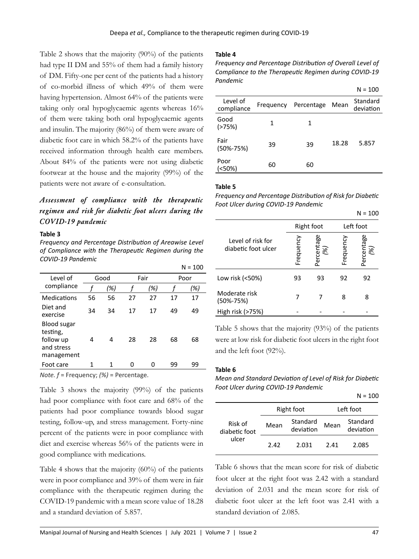Table 2 shows that the majority (90%) of the patients had type II DM and 55% of them had a family history of DM. Fifty-one per cent of the patients had a history of co-morbid illness of which 49% of them were having hypertension. Almost 64% of the patients were taking only oral hypoglycaemic agents whereas 16% of them were taking both oral hypoglycaemic agents and insulin. The majority (86%) of them were aware of diabetic foot care in which 58.2% of the patients have received information through health care members. About 84% of the patients were not using diabetic footwear at the house and the majority (99%) of the patients were not aware of e-consultation.

*Assessment of compliance with the therapeutic regimen and risk for diabetic foot ulcers during the COVID-19 pandemic*

#### **Table 3**

*Frequency and Percentage Distribution of Areawise Level of Compliance with the Therapeutic Regimen during the COVID-19 Pandemic*

|                                                                  |      |                             |    |      |      | $N = 100$ |
|------------------------------------------------------------------|------|-----------------------------|----|------|------|-----------|
| Level of                                                         | Good |                             |    | Fair | Poor |           |
| compliance                                                       |      | (%)                         |    | (%)  |      | (%)       |
| Medications                                                      | 56   | 56                          | 27 | 27   | 17   | 17        |
| Diet and<br>exercise                                             | 34   | 34                          | 17 | 17   | 49   | 49        |
| Blood sugar<br>testing,<br>follow up<br>and stress<br>management | 4    | 4                           | 28 | 28   | 68   | 68        |
| Foot care                                                        | 1    | 1                           | 0  | 0    | 99   | 99        |
| .                                                                |      | $\sim$ $\sim$ $\sim$ $\sim$ |    |      |      |           |

*Note. f* = Frequency; *(%)* = Percentage.

Table 3 shows the majority (99%) of the patients had poor compliance with foot care and 68% of the patients had poor compliance towards blood sugar testing, follow-up, and stress management. Forty-nine percent of the patients were in poor compliance with diet and exercise whereas 56% of the patients were in good compliance with medications.

Table 4 shows that the majority (60%) of the patients were in poor compliance and 39% of them were in fair compliance with the therapeutic regimen during the COVID-19 pandemic with a mean score value of 18.28 and a standard deviation of 5.857.

#### **Table 4**

*Frequency and Percentage Distribution of Overall Level of Compliance to the Therapeutic Regimen during COVID-19 Pandemic*

 $N = 100$ 

 $N = 100$ 

|                         |           |            |       | $19 - 100$            |
|-------------------------|-----------|------------|-------|-----------------------|
| Level of<br>compliance  | Frequency | Percentage | Mean  | Standard<br>deviation |
| Good<br>( > 75%)        | 1         | 1          |       |                       |
| Fair<br>$(50\% - 75\%)$ | 39        | 39         | 18.28 | 5.857                 |
| Poor<br>$(50\%)$        | 60        | 60         |       |                       |

#### **Table 5**

*Frequency and Percentage Distribution of Risk for Diabetic Foot Ulcer during COVID-19 Pandemic*

|                                          |           |                  |           | 14 – TOO          |
|------------------------------------------|-----------|------------------|-----------|-------------------|
|                                          |           | Right foot       | Left foot |                   |
| Level of risk for<br>diabetic foot ulcer | Frequency | Percentage<br>%) | Frequency | Percentage<br>96. |
| Low risk (<50%)                          | 93        | 93               | 92        | 92                |
| Moderate risk<br>$(50\% - 75\%)$         |           |                  | 8         | 8                 |
| High risk (>75%)                         |           |                  |           |                   |

Table 5 shows that the majority (93%) of the patients were at low risk for diabetic foot ulcers in the right foot and the left foot (92%).

#### **Table 6**

*Mean and Standard Deviation of Level of Risk for Diabetic Foot Ulcer during COVID-19 Pandemic*

|                          |      |                       |           | $N = 100$             |  |
|--------------------------|------|-----------------------|-----------|-----------------------|--|
|                          |      | Right foot            | Left foot |                       |  |
| Risk of<br>diabetic foot | Mean | Standard<br>deviation | Mean      | Standard<br>deviation |  |
| ulcer                    | 242  | 2.031                 | 241       | 2.085                 |  |

Table 6 shows that the mean score for risk of diabetic foot ulcer at the right foot was 2.42 with a standard deviation of 2.031 and the mean score for risk of diabetic foot ulcer at the left foot was 2.41 with a standard deviation of 2.085.

 $\overline{a}$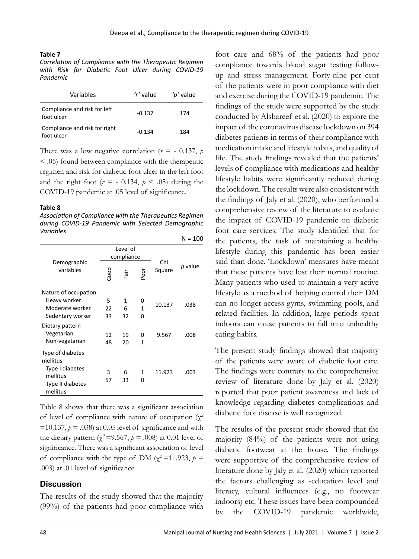#### **Table 7**

*Correlation of Compliance with the Therapeutic Regimen with Risk for Diabetic Foot Ulcer during COVID-19 Pandemic*

| Variables                                   | 'r' value | 'p' value |
|---------------------------------------------|-----------|-----------|
| Compliance and risk for left<br>foot ulcer  | $-0.137$  | .174      |
| Compliance and risk for right<br>foot ulcer | $-0.134$  | .184      |

There was a low negative correlation ( $r = -0.137$ ,  $p = 0.137$ < .05) found between compliance with the therapeutic regimen and risk for diabetic foot ulcer in the left foot and the right foot  $(r = -0.134, p < .05)$  during the COVID-19 pandemic at .05 level of significance.

#### **Table 8**

*Association of Compliance with the Therapeutics Regimen during COVID-19 Pandemic with Selected Demographic Variables*

|                              |                        |      |      |        | N = 100 |
|------------------------------|------------------------|------|------|--------|---------|
| Demographic                  | Level of<br>compliance |      |      | Chi    |         |
| variables                    | Good                   | Fair | poor | Square | p value |
| Nature of occupation         |                        |      |      |        |         |
| Heavy worker                 | 5                      | 1    | 0    |        |         |
| Moderate worker              | 22                     | 6    | 1    | 10.137 | .038    |
| Sedentary worker             | 33                     | 32   | o    |        |         |
| Dietary pattern              |                        |      |      |        |         |
| Vegetarian                   | 12                     | 19   | O    | 9.567  | .008    |
| Non-vegetarian               | 48                     | 20   | 1    |        |         |
| Type of diabetes<br>mellitus |                        |      |      |        |         |
| Type I diabetes              | 3                      | 6    | 1    | 11.923 | .003    |
| mellitus                     | 57                     | 33   | n    |        |         |
| Type II diabetes<br>mellitus |                        |      |      |        |         |

Table 8 shows that there was a significant association of level of compliance with nature of occupation (χ*<sup>2</sup>*  $=10.137$ ,  $p = .038$ ) at 0.05 level of significance and with the dietary pattern ( $\chi^2$ =9.567,  $p$  = .008) at 0.01 level of significance. There was a significant association of level of compliance with the type of DM ( $\chi^2$ =11.923, *p* = .003) at .01 level of significance.

### **Discussion**

The results of the study showed that the majority (99%) of the patients had poor compliance with

foot care and 68% of the patients had poor compliance towards blood sugar testing followup and stress management. Forty-nine per cent of the patients were in poor compliance with diet and exercise during the COVID-19 pandemic. The findings of the study were supported by the study conducted by Alshareef et al. (2020) to explore the impact of the coronavirus disease lockdown on 394 diabetes patients in terms of their compliance with medication intake and lifestyle habits, and quality of life. The study findings revealed that the patients' levels of compliance with medications and healthy lifestyle habits were significantly reduced during the lockdown. The results were also consistent with the findings of Jaly et al. (2020), who performed a comprehensive review of the literature to evaluate the impact of COVID-19 pandemic on diabetic foot care services. The study identified that for the patients, the task of maintaining a healthy lifestyle during this pandemic has been easier said than done. 'Lockdown' measures have meant that these patients have lost their normal routine. Many patients who used to maintain a very active lifestyle as a method of helping control their DM can no longer access gyms, swimming pools, and related facilities. In addition, large periods spent indoors can cause patients to fall into unhealthy eating habits.

The present study findings showed that majority of the patients were aware of diabetic foot care. The findings were contrary to the comprehensive review of literature done by Jaly et al. (2020) reported that poor patient awareness and lack of knowledge regarding diabetes complications and diabetic foot disease is well recognized.

The results of the present study showed that the majority (84%) of the patients were not using diabetic footwear at the house. The findings were supportive of the comprehensive review of literature done by Jaly et al. (2020) which reported the factors challenging as -education level and literacy, cultural influences (e.g., no footwear indoors) etc. These issues have been compounded by the COVID-19 pandemic worldwide,